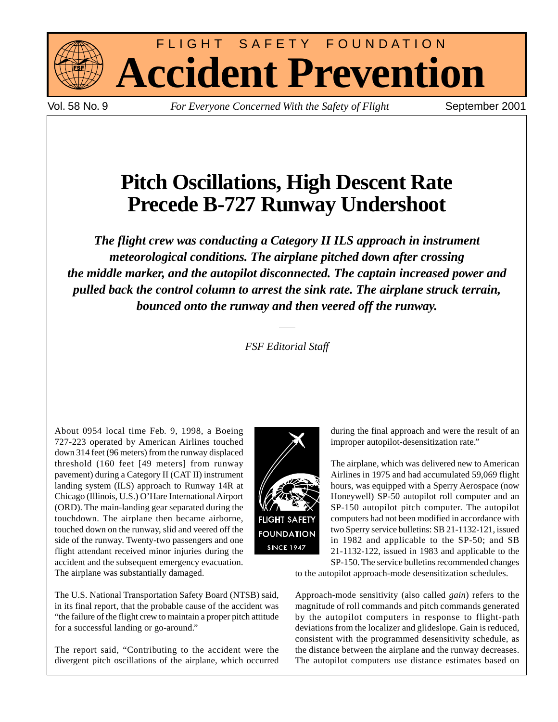

FLIGHT SAFETY FOUNDATION **Accident Prevention**

Vol. 58 No. 9 *For Everyone Concerned With the Safety of Flight* September 2001

# **Pitch Oscillations, High Descent Rate Precede B-727 Runway Undershoot**

*The flight crew was conducting a Category II ILS approach in instrument meteorological conditions. The airplane pitched down after crossing the middle marker, and the autopilot disconnected. The captain increased power and pulled back the control column to arrest the sink rate. The airplane struck terrain, bounced onto the runway and then veered off the runway.*

*FSF Editorial Staff*

About 0954 local time Feb. 9, 1998, a Boeing 727-223 operated by American Airlines touched down 314 feet (96 meters) from the runway displaced threshold (160 feet [49 meters] from runway pavement) during a Category II (CAT II) instrument landing system (ILS) approach to Runway 14R at Chicago (Illinois, U.S.) O'Hare International Airport (ORD). The main-landing gear separated during the touchdown. The airplane then became airborne, touched down on the runway, slid and veered off the side of the runway. Twenty-two passengers and one flight attendant received minor injuries during the accident and the subsequent emergency evacuation. The airplane was substantially damaged.



The report said, "Contributing to the accident were the divergent pitch oscillations of the airplane, which occurred



The airplane, which was delivered new to American Airlines in 1975 and had accumulated 59,069 flight hours, was equipped with a Sperry Aerospace (now Honeywell) SP-50 autopilot roll computer and an SP-150 autopilot pitch computer. The autopilot computers had not been modified in accordance with two Sperry service bulletins: SB 21-1132-121, issued in 1982 and applicable to the SP-50; and SB 21-1132-122, issued in 1983 and applicable to the SP-150. The service bulletins recommended changes

to the autopilot approach-mode desensitization schedules.

Approach-mode sensitivity (also called *gain*) refers to the magnitude of roll commands and pitch commands generated by the autopilot computers in response to flight-path deviations from the localizer and glideslope. Gain is reduced, consistent with the programmed desensitivity schedule, as the distance between the airplane and the runway decreases. The autopilot computers use distance estimates based on

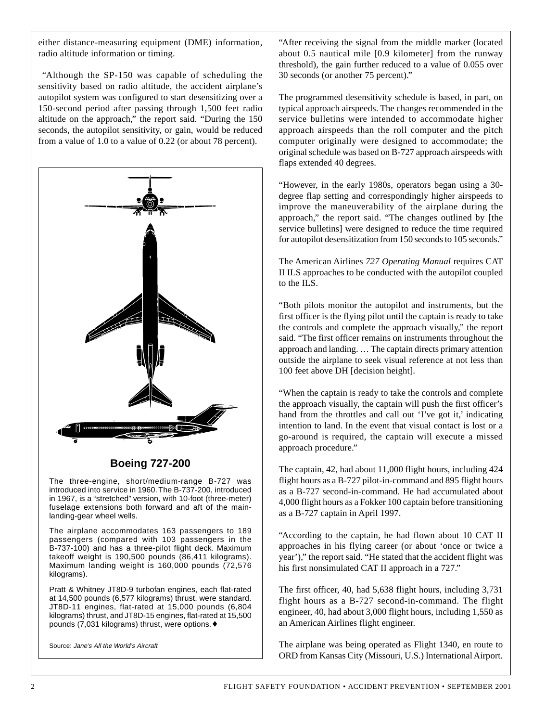either distance-measuring equipment (DME) information, radio altitude information or timing.

"Although the SP-150 was capable of scheduling the sensitivity based on radio altitude, the accident airplane's autopilot system was configured to start desensitizing over a 150-second period after passing through 1,500 feet radio altitude on the approach," the report said. "During the 150 seconds, the autopilot sensitivity, or gain, would be reduced from a value of 1.0 to a value of 0.22 (or about 78 percent).



## **Boeing 727-200**

The three-engine, short/medium-range B-727 was introduced into service in 1960. The B-737-200, introduced in 1967, is a "stretched" version, with 10-foot (three-meter) fuselage extensions both forward and aft of the mainlanding-gear wheel wells.

The airplane accommodates 163 passengers to 189 passengers (compared with 103 passengers in the B-737-100) and has a three-pilot flight deck. Maximum takeoff weight is 190,500 pounds (86,411 kilograms). Maximum landing weight is 160,000 pounds (72,576 kilograms).

Pratt & Whitney JT8D-9 turbofan engines, each flat-rated at 14,500 pounds (6,577 kilograms) thrust, were standard. JT8D-11 engines, flat-rated at 15,000 pounds (6,804 kilograms) thrust, and JT8D-15 engines, flat-rated at 15,500 pounds (7,031 kilograms) thrust, were options.♦

Source: Jane's All the World's Aircraft

"After receiving the signal from the middle marker (located about 0.5 nautical mile [0.9 kilometer] from the runway threshold), the gain further reduced to a value of 0.055 over 30 seconds (or another 75 percent)."

The programmed desensitivity schedule is based, in part, on typical approach airspeeds. The changes recommended in the service bulletins were intended to accommodate higher approach airspeeds than the roll computer and the pitch computer originally were designed to accommodate; the original schedule was based on B-727 approach airspeeds with flaps extended 40 degrees.

"However, in the early 1980s, operators began using a 30 degree flap setting and correspondingly higher airspeeds to improve the maneuverability of the airplane during the approach," the report said. "The changes outlined by [the service bulletins] were designed to reduce the time required for autopilot desensitization from 150 seconds to 105 seconds."

The American Airlines *727 Operating Manual* requires CAT II ILS approaches to be conducted with the autopilot coupled to the ILS.

"Both pilots monitor the autopilot and instruments, but the first officer is the flying pilot until the captain is ready to take the controls and complete the approach visually," the report said. "The first officer remains on instruments throughout the approach and landing. … The captain directs primary attention outside the airplane to seek visual reference at not less than 100 feet above DH [decision height].

"When the captain is ready to take the controls and complete the approach visually, the captain will push the first officer's hand from the throttles and call out 'I've got it,' indicating intention to land. In the event that visual contact is lost or a go-around is required, the captain will execute a missed approach procedure."

The captain, 42, had about 11,000 flight hours, including 424 flight hours as a B-727 pilot-in-command and 895 flight hours as a B-727 second-in-command. He had accumulated about 4,000 flight hours as a Fokker 100 captain before transitioning as a B-727 captain in April 1997.

"According to the captain, he had flown about 10 CAT II approaches in his flying career (or about 'once or twice a year')," the report said. "He stated that the accident flight was his first nonsimulated CAT II approach in a 727."

The first officer, 40, had 5,638 flight hours, including 3,731 flight hours as a B-727 second-in-command. The flight engineer, 40, had about 3,000 flight hours, including 1,550 as an American Airlines flight engineer.

The airplane was being operated as Flight 1340, en route to ORD from Kansas City (Missouri, U.S.) International Airport.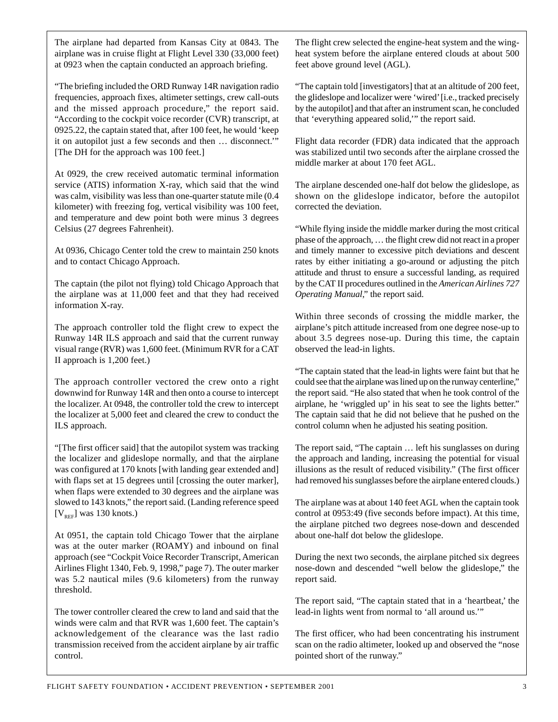The airplane had departed from Kansas City at 0843. The airplane was in cruise flight at Flight Level 330 (33,000 feet) at 0923 when the captain conducted an approach briefing.

"The briefing included the ORD Runway 14R navigation radio frequencies, approach fixes, altimeter settings, crew call-outs and the missed approach procedure," the report said. "According to the cockpit voice recorder (CVR) transcript, at 0925.22, the captain stated that, after 100 feet, he would 'keep it on autopilot just a few seconds and then … disconnect.'" [The DH for the approach was 100 feet.]

At 0929, the crew received automatic terminal information service (ATIS) information X-ray, which said that the wind was calm, visibility was less than one-quarter statute mile (0.4 kilometer) with freezing fog, vertical visibility was 100 feet, and temperature and dew point both were minus 3 degrees Celsius (27 degrees Fahrenheit).

At 0936, Chicago Center told the crew to maintain 250 knots and to contact Chicago Approach.

The captain (the pilot not flying) told Chicago Approach that the airplane was at 11,000 feet and that they had received information X-ray.

The approach controller told the flight crew to expect the Runway 14R ILS approach and said that the current runway visual range (RVR) was 1,600 feet. (Minimum RVR for a CAT II approach is 1,200 feet.)

The approach controller vectored the crew onto a right downwind for Runway 14R and then onto a course to intercept the localizer. At 0948, the controller told the crew to intercept the localizer at 5,000 feet and cleared the crew to conduct the ILS approach.

"[The first officer said] that the autopilot system was tracking the localizer and glideslope normally, and that the airplane was configured at 170 knots [with landing gear extended and] with flaps set at 15 degrees until [crossing the outer marker], when flaps were extended to 30 degrees and the airplane was slowed to 143 knots," the report said. (Landing reference speed  $[V_{REF}]$  was 130 knots.)

At 0951, the captain told Chicago Tower that the airplane was at the outer marker (ROAMY) and inbound on final approach (see "Cockpit Voice Recorder Transcript, American Airlines Flight 1340, Feb. 9, 1998," page 7). The outer marker was 5.2 nautical miles (9.6 kilometers) from the runway threshold.

The tower controller cleared the crew to land and said that the winds were calm and that RVR was 1,600 feet. The captain's acknowledgement of the clearance was the last radio transmission received from the accident airplane by air traffic control.

The flight crew selected the engine-heat system and the wingheat system before the airplane entered clouds at about 500 feet above ground level (AGL).

"The captain told [investigators] that at an altitude of 200 feet, the glideslope and localizer were 'wired' [i.e., tracked precisely by the autopilot] and that after an instrument scan, he concluded that 'everything appeared solid,'" the report said.

Flight data recorder (FDR) data indicated that the approach was stabilized until two seconds after the airplane crossed the middle marker at about 170 feet AGL.

The airplane descended one-half dot below the glideslope, as shown on the glideslope indicator, before the autopilot corrected the deviation.

"While flying inside the middle marker during the most critical phase of the approach, … the flight crew did not react in a proper and timely manner to excessive pitch deviations and descent rates by either initiating a go-around or adjusting the pitch attitude and thrust to ensure a successful landing, as required by the CAT II procedures outlined in the *American Airlines 727 Operating Manual*," the report said.

Within three seconds of crossing the middle marker, the airplane's pitch attitude increased from one degree nose-up to about 3.5 degrees nose-up. During this time, the captain observed the lead-in lights.

"The captain stated that the lead-in lights were faint but that he could see that the airplane was lined up on the runway centerline," the report said. "He also stated that when he took control of the airplane, he 'wriggled up' in his seat to see the lights better." The captain said that he did not believe that he pushed on the control column when he adjusted his seating position.

The report said, "The captain … left his sunglasses on during the approach and landing, increasing the potential for visual illusions as the result of reduced visibility." (The first officer had removed his sunglasses before the airplane entered clouds.)

The airplane was at about 140 feet AGL when the captain took control at 0953:49 (five seconds before impact). At this time, the airplane pitched two degrees nose-down and descended about one-half dot below the glideslope.

During the next two seconds, the airplane pitched six degrees nose-down and descended "well below the glideslope," the report said.

The report said, "The captain stated that in a 'heartbeat,' the lead-in lights went from normal to 'all around us.'"

The first officer, who had been concentrating his instrument scan on the radio altimeter, looked up and observed the "nose pointed short of the runway."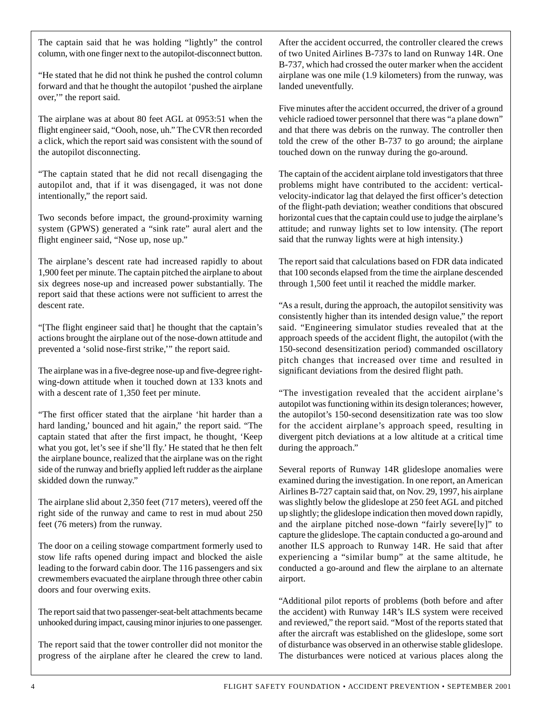The captain said that he was holding "lightly" the control column, with one finger next to the autopilot-disconnect button.

"He stated that he did not think he pushed the control column forward and that he thought the autopilot 'pushed the airplane over,'" the report said.

The airplane was at about 80 feet AGL at 0953:51 when the flight engineer said, "Oooh, nose, uh." The CVR then recorded a click, which the report said was consistent with the sound of the autopilot disconnecting.

"The captain stated that he did not recall disengaging the autopilot and, that if it was disengaged, it was not done intentionally," the report said.

Two seconds before impact, the ground-proximity warning system (GPWS) generated a "sink rate" aural alert and the flight engineer said, "Nose up, nose up."

The airplane's descent rate had increased rapidly to about 1,900 feet per minute. The captain pitched the airplane to about six degrees nose-up and increased power substantially. The report said that these actions were not sufficient to arrest the descent rate.

"[The flight engineer said that] he thought that the captain's actions brought the airplane out of the nose-down attitude and prevented a 'solid nose-first strike,'" the report said.

The airplane was in a five-degree nose-up and five-degree rightwing-down attitude when it touched down at 133 knots and with a descent rate of 1,350 feet per minute.

"The first officer stated that the airplane 'hit harder than a hard landing,' bounced and hit again," the report said. "The captain stated that after the first impact, he thought, 'Keep what you got, let's see if she'll fly.' He stated that he then felt the airplane bounce, realized that the airplane was on the right side of the runway and briefly applied left rudder as the airplane skidded down the runway."

The airplane slid about 2,350 feet (717 meters), veered off the right side of the runway and came to rest in mud about 250 feet (76 meters) from the runway.

The door on a ceiling stowage compartment formerly used to stow life rafts opened during impact and blocked the aisle leading to the forward cabin door. The 116 passengers and six crewmembers evacuated the airplane through three other cabin doors and four overwing exits.

The report said that two passenger-seat-belt attachments became unhooked during impact, causing minor injuries to one passenger.

The report said that the tower controller did not monitor the progress of the airplane after he cleared the crew to land. After the accident occurred, the controller cleared the crews of two United Airlines B-737s to land on Runway 14R. One B-737, which had crossed the outer marker when the accident airplane was one mile (1.9 kilometers) from the runway, was landed uneventfully.

Five minutes after the accident occurred, the driver of a ground vehicle radioed tower personnel that there was "a plane down" and that there was debris on the runway. The controller then told the crew of the other B-737 to go around; the airplane touched down on the runway during the go-around.

The captain of the accident airplane told investigators that three problems might have contributed to the accident: verticalvelocity-indicator lag that delayed the first officer's detection of the flight-path deviation; weather conditions that obscured horizontal cues that the captain could use to judge the airplane's attitude; and runway lights set to low intensity. (The report said that the runway lights were at high intensity.)

The report said that calculations based on FDR data indicated that 100 seconds elapsed from the time the airplane descended through 1,500 feet until it reached the middle marker.

"As a result, during the approach, the autopilot sensitivity was consistently higher than its intended design value," the report said. "Engineering simulator studies revealed that at the approach speeds of the accident flight, the autopilot (with the 150-second desensitization period) commanded oscillatory pitch changes that increased over time and resulted in significant deviations from the desired flight path.

"The investigation revealed that the accident airplane's autopilot was functioning within its design tolerances; however, the autopilot's 150-second desensitization rate was too slow for the accident airplane's approach speed, resulting in divergent pitch deviations at a low altitude at a critical time during the approach."

Several reports of Runway 14R glideslope anomalies were examined during the investigation. In one report, an American Airlines B-727 captain said that, on Nov. 29, 1997, his airplane was slightly below the glideslope at 250 feet AGL and pitched up slightly; the glideslope indication then moved down rapidly, and the airplane pitched nose-down "fairly severe[ly]" to capture the glideslope. The captain conducted a go-around and another ILS approach to Runway 14R. He said that after experiencing a "similar bump" at the same altitude, he conducted a go-around and flew the airplane to an alternate airport.

"Additional pilot reports of problems (both before and after the accident) with Runway 14R's ILS system were received and reviewed," the report said. "Most of the reports stated that after the aircraft was established on the glideslope, some sort of disturbance was observed in an otherwise stable glideslope. The disturbances were noticed at various places along the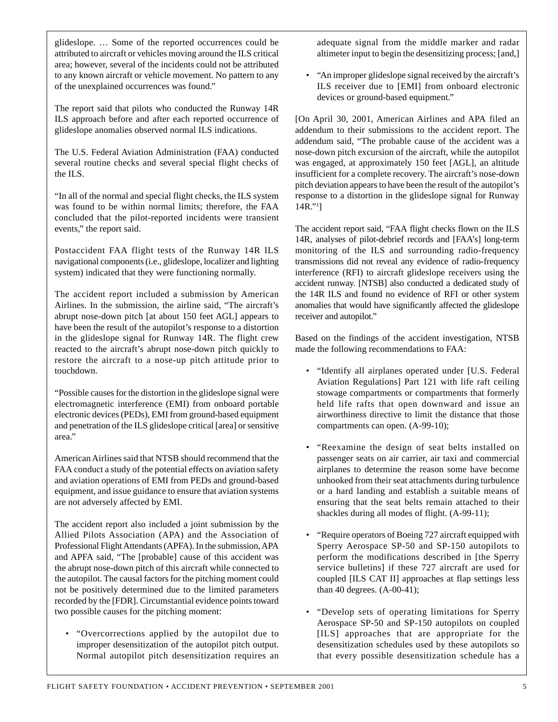glideslope. … Some of the reported occurrences could be attributed to aircraft or vehicles moving around the ILS critical area; however, several of the incidents could not be attributed to any known aircraft or vehicle movement. No pattern to any of the unexplained occurrences was found."

The report said that pilots who conducted the Runway 14R ILS approach before and after each reported occurrence of glideslope anomalies observed normal ILS indications.

The U.S. Federal Aviation Administration (FAA) conducted several routine checks and several special flight checks of the ILS.

"In all of the normal and special flight checks, the ILS system was found to be within normal limits; therefore, the FAA concluded that the pilot-reported incidents were transient events," the report said.

Postaccident FAA flight tests of the Runway 14R ILS navigational components (i.e., glideslope, localizer and lighting system) indicated that they were functioning normally.

The accident report included a submission by American Airlines. In the submission, the airline said, "The aircraft's abrupt nose-down pitch [at about 150 feet AGL] appears to have been the result of the autopilot's response to a distortion in the glideslope signal for Runway 14R. The flight crew reacted to the aircraft's abrupt nose-down pitch quickly to restore the aircraft to a nose-up pitch attitude prior to touchdown.

"Possible causes for the distortion in the glideslope signal were electromagnetic interference (EMI) from onboard portable electronic devices (PEDs), EMI from ground-based equipment and penetration of the ILS glideslope critical [area] or sensitive area."

American Airlines said that NTSB should recommend that the FAA conduct a study of the potential effects on aviation safety and aviation operations of EMI from PEDs and ground-based equipment, and issue guidance to ensure that aviation systems are not adversely affected by EMI.

The accident report also included a joint submission by the Allied Pilots Association (APA) and the Association of Professional Flight Attendants (APFA). In the submission, APA and APFA said, "The [probable] cause of this accident was the abrupt nose-down pitch of this aircraft while connected to the autopilot. The causal factors for the pitching moment could not be positively determined due to the limited parameters recorded by the [FDR]. Circumstantial evidence points toward two possible causes for the pitching moment:

• "Overcorrections applied by the autopilot due to improper desensitization of the autopilot pitch output. Normal autopilot pitch desensitization requires an adequate signal from the middle marker and radar altimeter input to begin the desensitizing process; [and,]

• "An improper glideslope signal received by the aircraft's ILS receiver due to [EMI] from onboard electronic devices or ground-based equipment."

[On April 30, 2001, American Airlines and APA filed an addendum to their submissions to the accident report. The addendum said, "The probable cause of the accident was a nose-down pitch excursion of the aircraft, while the autopilot was engaged, at approximately 150 feet [AGL], an altitude insufficient for a complete recovery. The aircraft's nose-down pitch deviation appears to have been the result of the autopilot's response to a distortion in the glideslope signal for Runway 14R."1 ]

The accident report said, "FAA flight checks flown on the ILS 14R, analyses of pilot-debrief records and [FAA's] long-term monitoring of the ILS and surrounding radio-frequency transmissions did not reveal any evidence of radio-frequency interference (RFI) to aircraft glideslope receivers using the accident runway. [NTSB] also conducted a dedicated study of the 14R ILS and found no evidence of RFI or other system anomalies that would have significantly affected the glideslope receiver and autopilot."

Based on the findings of the accident investigation, NTSB made the following recommendations to FAA:

- "Identify all airplanes operated under [U.S. Federal Aviation Regulations] Part 121 with life raft ceiling stowage compartments or compartments that formerly held life rafts that open downward and issue an airworthiness directive to limit the distance that those compartments can open. (A-99-10);
- "Reexamine the design of seat belts installed on passenger seats on air carrier, air taxi and commercial airplanes to determine the reason some have become unhooked from their seat attachments during turbulence or a hard landing and establish a suitable means of ensuring that the seat belts remain attached to their shackles during all modes of flight. (A-99-11);
- "Require operators of Boeing 727 aircraft equipped with Sperry Aerospace SP-50 and SP-150 autopilots to perform the modifications described in [the Sperry service bulletins] if these 727 aircraft are used for coupled [ILS CAT II] approaches at flap settings less than 40 degrees. (A-00-41);
- "Develop sets of operating limitations for Sperry Aerospace SP-50 and SP-150 autopilots on coupled [ILS] approaches that are appropriate for the desensitization schedules used by these autopilots so that every possible desensitization schedule has a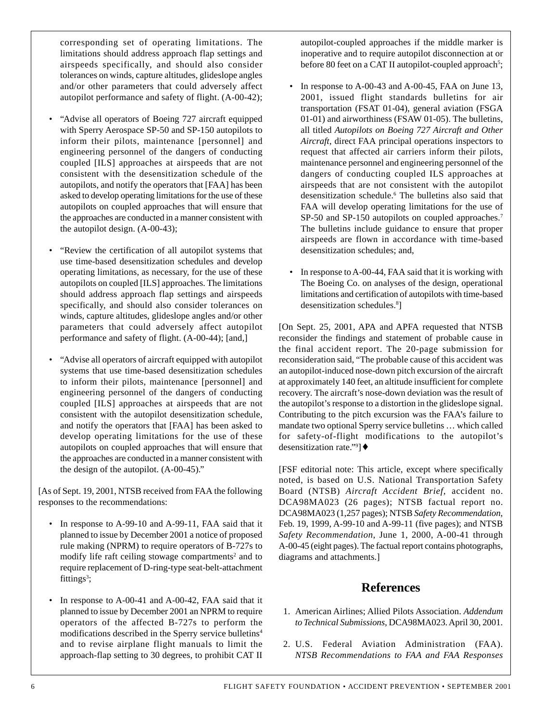corresponding set of operating limitations. The limitations should address approach flap settings and airspeeds specifically, and should also consider tolerances on winds, capture altitudes, glideslope angles and/or other parameters that could adversely affect autopilot performance and safety of flight. (A-00-42);

- "Advise all operators of Boeing 727 aircraft equipped with Sperry Aerospace SP-50 and SP-150 autopilots to inform their pilots, maintenance [personnel] and engineering personnel of the dangers of conducting coupled [ILS] approaches at airspeeds that are not consistent with the desensitization schedule of the autopilots, and notify the operators that [FAA] has been asked to develop operating limitations for the use of these autopilots on coupled approaches that will ensure that the approaches are conducted in a manner consistent with the autopilot design. (A-00-43);
- "Review the certification of all autopilot systems that use time-based desensitization schedules and develop operating limitations, as necessary, for the use of these autopilots on coupled [ILS] approaches. The limitations should address approach flap settings and airspeeds specifically, and should also consider tolerances on winds, capture altitudes, glideslope angles and/or other parameters that could adversely affect autopilot performance and safety of flight. (A-00-44); [and,]
- "Advise all operators of aircraft equipped with autopilot systems that use time-based desensitization schedules to inform their pilots, maintenance [personnel] and engineering personnel of the dangers of conducting coupled [ILS] approaches at airspeeds that are not consistent with the autopilot desensitization schedule, and notify the operators that [FAA] has been asked to develop operating limitations for the use of these autopilots on coupled approaches that will ensure that the approaches are conducted in a manner consistent with the design of the autopilot. (A-00-45)."

[As of Sept. 19, 2001, NTSB received from FAA the following responses to the recommendations:

- In response to A-99-10 and A-99-11, FAA said that it planned to issue by December 2001 a notice of proposed rule making (NPRM) to require operators of B-727s to modify life raft ceiling stowage compartments<sup>2</sup> and to require replacement of D-ring-type seat-belt-attachment fittings<sup>3</sup>;
- In response to A-00-41 and A-00-42, FAA said that it planned to issue by December 2001 an NPRM to require operators of the affected B-727s to perform the modifications described in the Sperry service bulletins4 and to revise airplane flight manuals to limit the approach-flap setting to 30 degrees, to prohibit CAT II

autopilot-coupled approaches if the middle marker is inoperative and to require autopilot disconnection at or before 80 feet on a CAT II autopilot-coupled approach<sup>5</sup>;

- In response to  $A$ -00-43 and  $A$ -00-45, FAA on June 13, 2001, issued flight standards bulletins for air transportation (FSAT 01-04), general aviation (FSGA 01-01) and airworthiness (FSAW 01-05). The bulletins, all titled *Autopilots on Boeing 727 Aircraft and Other Aircraft*, direct FAA principal operations inspectors to request that affected air carriers inform their pilots, maintenance personnel and engineering personnel of the dangers of conducting coupled ILS approaches at airspeeds that are not consistent with the autopilot desensitization schedule.6 The bulletins also said that FAA will develop operating limitations for the use of SP-50 and SP-150 autopilots on coupled approaches.<sup>7</sup> The bulletins include guidance to ensure that proper airspeeds are flown in accordance with time-based desensitization schedules; and,
- In response to A-00-44, FAA said that it is working with The Boeing Co. on analyses of the design, operational limitations and certification of autopilots with time-based desensitization schedules.<sup>8</sup>]

[On Sept. 25, 2001, APA and APFA requested that NTSB reconsider the findings and statement of probable cause in the final accident report. The 20-page submission for reconsideration said, "The probable cause of this accident was an autopilot-induced nose-down pitch excursion of the aircraft at approximately 140 feet, an altitude insufficient for complete recovery. The aircraft's nose-down deviation was the result of the autopilot's response to a distortion in the glideslope signal. Contributing to the pitch excursion was the FAA's failure to mandate two optional Sperry service bulletins … which called for safety-of-flight modifications to the autopilot's desensitization rate."9 ]♦

[FSF editorial note: This article, except where specifically noted, is based on U.S. National Transportation Safety Board (NTSB) *Aircraft Accident Brief*, accident no. DCA98MA023 (26 pages); NTSB factual report no. DCA98MA023 (1,257 pages); NTSB *Safety Recommendation*, Feb. 19, 1999, A-99-10 and A-99-11 (five pages); and NTSB *Safety Recommendation*, June 1, 2000, A-00-41 through A-00-45 (eight pages). The factual report contains photographs, diagrams and attachments.]

# **References**

- 1. American Airlines; Allied Pilots Association. *Addendum to Technical Submissions*, DCA98MA023. April 30, 2001.
- 2. U.S. Federal Aviation Administration (FAA). *NTSB Recommendations to FAA and FAA Responses*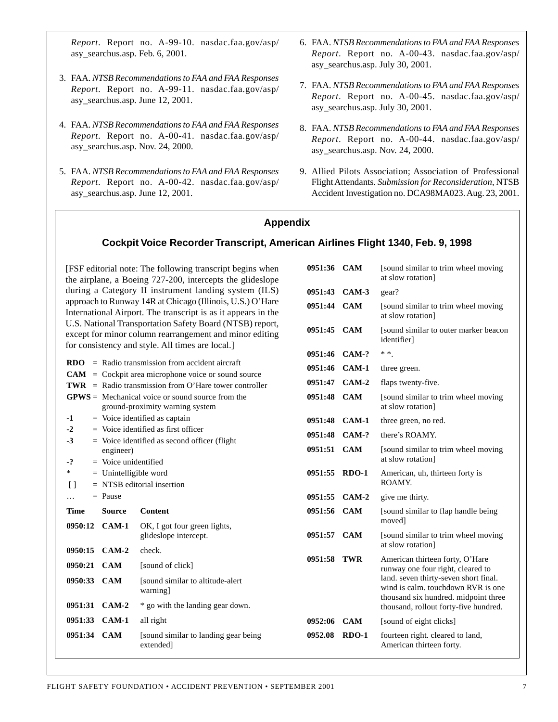*Report*. Report no. A-99-10. nasdac.faa.gov/asp/ asy\_searchus.asp. Feb. 6, 2001.

- 3. FAA. *NTSB Recommendations to FAA and FAA Responses Report*. Report no. A-99-11. nasdac.faa.gov/asp/ asy\_searchus.asp. June 12, 2001.
- 4. FAA. *NTSB Recommendations to FAA and FAA Responses Report*. Report no. A-00-41. nasdac.faa.gov/asp/ asy searchus.asp. Nov. 24, 2000.
- 5. FAA. *NTSB Recommendations to FAA and FAA Responses Report*. Report no. A-00-42. nasdac.faa.gov/asp/ asy\_searchus.asp. June 12, 2001.
- 6. FAA. *NTSB Recommendations to FAA and FAA Responses Report*. Report no. A-00-43. nasdac.faa.gov/asp/ asy\_searchus.asp. July 30, 2001.
- 7. FAA. *NTSB Recommendations to FAA and FAA Responses Report*. Report no. A-00-45. nasdac.faa.gov/asp/ asy\_searchus.asp. July 30, 2001.
- 8. FAA. *NTSB Recommendations to FAA and FAA Responses Report*. Report no. A-00-44. nasdac.faa.gov/asp/ asy\_searchus.asp. Nov. 24, 2000.
- 9. Allied Pilots Association; Association of Professional Flight Attendants. *Submission for Reconsideration*, NTSB Accident Investigation no. DCA98MA023. Aug. 23, 2001.

### **Appendix**

## **Cockpit Voice Recorder Transcript, American Airlines Flight 1340, Feb. 9, 1998**

[FSF editorial note: The following transcript begins when the airplane, a Boeing 727-200, intercepts the glideslope during a Category II instrument landing system (ILS) approach to Runway 14R at Chicago (Illinois, U.S.) O'Hare International Airport. The transcript is as it appears in the U.S. National Transportation Safety Board (NTSB) report, except for minor column rearrangement and minor editing for consistency and style. All times are local.]

|               |                                           | $RDO = Radio transmission from accident aircraft$       | 0951:46 CAM-1 |            |  |
|---------------|-------------------------------------------|---------------------------------------------------------|---------------|------------|--|
|               |                                           | $CAM = Cockpit$ area microphone voice or sound source   | 0951:47       | $CAM-2$    |  |
|               |                                           | $TWR =$ Radio transmission from O'Hare tower controller |               |            |  |
|               |                                           | $GPWS = Mechanical$ voice or sound source from the      | 0951:48 CAM   |            |  |
|               |                                           | ground-proximity warning system                         |               |            |  |
| $-1$          |                                           | $=$ Voice identified as captain                         | 0951:48       | CAM-1      |  |
| $-2$          | $=$ Voice identified as first officer     |                                                         | 0951:48 CAM-? |            |  |
| $-3$          |                                           | $=$ Voice identified as second officer (flight          | 0951:51       | <b>CAM</b> |  |
| $-2$          | engineer)<br>$=$ Voice unidentified       |                                                         |               |            |  |
| *             | $=$ Unintelligible word                   |                                                         | 0951:55       | $RDO-1$    |  |
| Γl            |                                           |                                                         |               |            |  |
|               | $=$ NTSB editorial insertion<br>$=$ Pause |                                                         |               |            |  |
| .             |                                           |                                                         | 0951:55       | $CAM-2$    |  |
| <b>Time</b>   | <b>Source</b>                             | Content                                                 | 0951:56       | <b>CAM</b> |  |
|               | 0950:12 CAM-1                             | OK, I got four green lights,<br>glideslope intercept.   | 0951:57       | <b>CAM</b> |  |
| 0950:15 CAM-2 |                                           | check.                                                  |               |            |  |
| 0950:21       | <b>CAM</b>                                | [sound of click]                                        | 0951:58       | <b>TWR</b> |  |
| 0950:33 CAM   |                                           | [sound similar to altitude-alert]<br>warning]           |               |            |  |
| 0951:31       | $CAM-2$                                   | * go with the landing gear down.                        |               |            |  |
| 0951:33       | CAM-1                                     | all right                                               | 0952:06       | <b>CAM</b> |  |
| 0951:34 CAM   |                                           | [sound similar to landing gear being]<br>extended]      | 0952.08       | $RDO-1$    |  |

| 0951:36 CAM |            | [sound similar to trim wheel moving]<br>at slow rotation                                                                                                                                                                             |
|-------------|------------|--------------------------------------------------------------------------------------------------------------------------------------------------------------------------------------------------------------------------------------|
| 0951:43     | $CAM-3$    | gear?                                                                                                                                                                                                                                |
| 0951:44     | <b>CAM</b> | [sound similar to trim wheel moving]<br>at slow rotation]                                                                                                                                                                            |
| 0951:45     | <b>CAM</b> | [sound similar to outer marker beacon<br>identifier]                                                                                                                                                                                 |
| 0951:46     | $CAM-?$    | * *                                                                                                                                                                                                                                  |
| 0951:46     | CAM-1      | three green.                                                                                                                                                                                                                         |
| 0951:47     | $CAM-2$    | flaps twenty-five.                                                                                                                                                                                                                   |
| 0951:48     | <b>CAM</b> | [sound similar to trim wheel moving]<br>at slow rotation]                                                                                                                                                                            |
| 0951:48     | $CAM-1$    | three green, no red.                                                                                                                                                                                                                 |
| 0951:48     | $CAM-?$    | there's ROAMY.                                                                                                                                                                                                                       |
| 0951:51     | <b>CAM</b> | [sound similar to trim wheel moving]<br>at slow rotation]                                                                                                                                                                            |
| 0951:55     | $RDO-1$    | American, uh, thirteen forty is<br>ROAMY.                                                                                                                                                                                            |
| 0951:55     | $CAM-2$    | give me thirty.                                                                                                                                                                                                                      |
| 0951:56     | <b>CAM</b> | [sound similar to flap handle being]<br>moved <sup>1</sup>                                                                                                                                                                           |
| 0951:57     | <b>CAM</b> | [sound similar to trim wheel moving<br>at slow rotation]                                                                                                                                                                             |
| 0951:58     | <b>TWR</b> | American thirteen forty, O'Hare<br>runway one four right, cleared to<br>land. seven thirty-seven short final.<br>wind is calm. touchdown RVR is one<br>thousand six hundred. midpoint three<br>thousand, rollout forty-five hundred. |
| 0952:06     | <b>CAM</b> | [sound of eight clicks]                                                                                                                                                                                                              |
| 0952.08     | $RDO-1$    | fourteen right. cleared to land,<br>American thirteen forty.                                                                                                                                                                         |